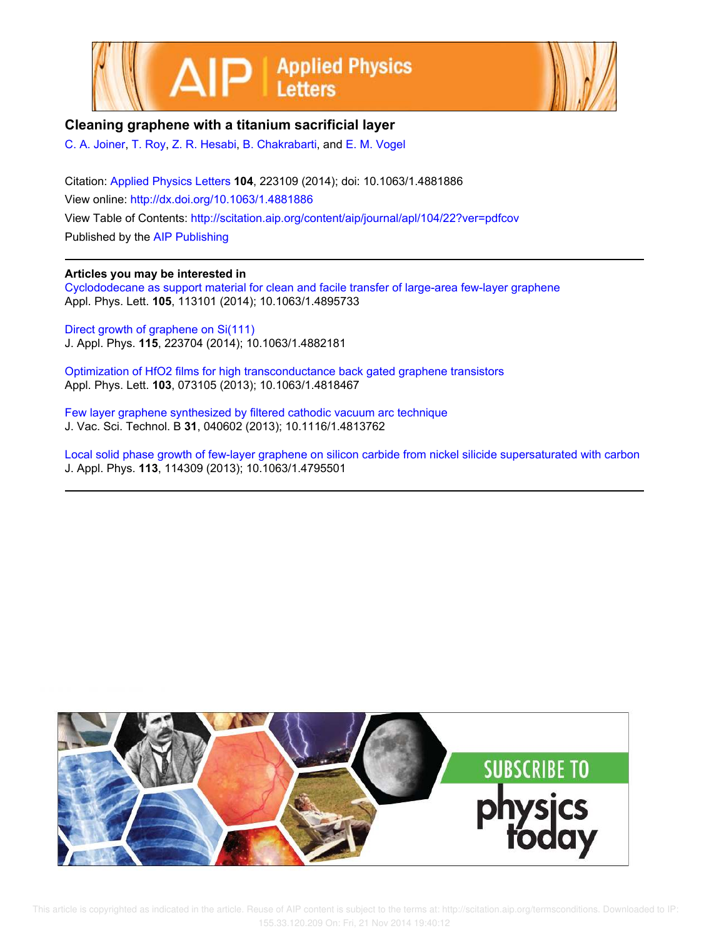



## **Cleaning graphene with a titanium sacrificial layer**

C. A. Joiner, T. Roy, Z. R. Hesabi, B. Chakrabarti, and E. M. Vogel

Citation: Applied Physics Letters **104**, 223109 (2014); doi: 10.1063/1.4881886 View online: http://dx.doi.org/10.1063/1.4881886 View Table of Contents: http://scitation.aip.org/content/aip/journal/apl/104/22?ver=pdfcov Published by the AIP Publishing

## **Articles you may be interested in**

Cyclododecane as support material for clean and facile transfer of large-area few-layer graphene Appl. Phys. Lett. **105**, 113101 (2014); 10.1063/1.4895733

Direct growth of graphene on Si(111) J. Appl. Phys. **115**, 223704 (2014); 10.1063/1.4882181

Optimization of HfO2 films for high transconductance back gated graphene transistors Appl. Phys. Lett. **103**, 073105 (2013); 10.1063/1.4818467

Few layer graphene synthesized by filtered cathodic vacuum arc technique J. Vac. Sci. Technol. B **31**, 040602 (2013); 10.1116/1.4813762

Local solid phase growth of few-layer graphene on silicon carbide from nickel silicide supersaturated with carbon J. Appl. Phys. **113**, 114309 (2013); 10.1063/1.4795501



 This article is copyrighted as indicated in the article. Reuse of AIP content is subject to the terms at: http://scitation.aip.org/termsconditions. Downloaded to IP: 155.33.120.209 On: Fri, 21 Nov 2014 19:40:12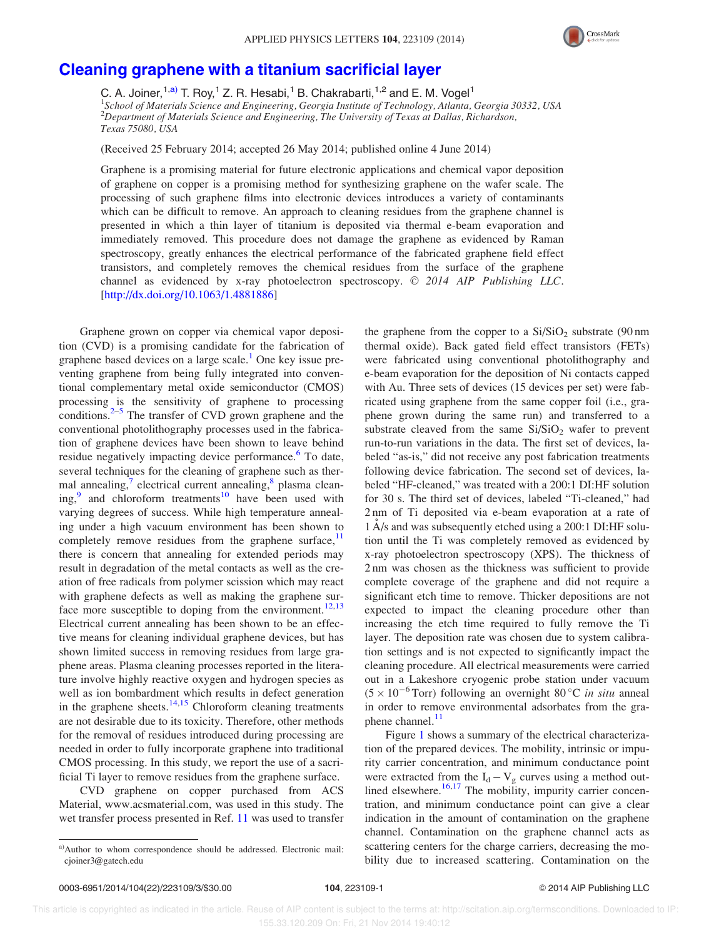

## Cleaning graphene with a titanium sacrificial layer

C. A. Joiner,  $1, a)$  T. Roy,  $1$  Z. R. Hesabi,  $1$  B. Chakrabarti,  $1, a$  and E. M. Vogel $1$ <sup>1</sup>School of Materials Science and Engineering, Georgia Institute of Technology, Atlanta, Georgia 30332, USA <sup>2</sup>Department of Materials Science and Engineering, The University of Texas at Dallas, Richardson, Texas 75080, USA

(Received 25 February 2014; accepted 26 May 2014; published online 4 June 2014)

Graphene is a promising material for future electronic applications and chemical vapor deposition of graphene on copper is a promising method for synthesizing graphene on the wafer scale. The processing of such graphene films into electronic devices introduces a variety of contaminants which can be difficult to remove. An approach to cleaning residues from the graphene channel is presented in which a thin layer of titanium is deposited via thermal e-beam evaporation and immediately removed. This procedure does not damage the graphene as evidenced by Raman spectroscopy, greatly enhances the electrical performance of the fabricated graphene field effect transistors, and completely removes the chemical residues from the surface of the graphene channel as evidenced by x-ray photoelectron spectroscopy.  $\odot$  2014 AIP Publishing LLC. [http://dx.doi.org/10.1063/1.4881886]

Graphene grown on copper via chemical vapor deposition (CVD) is a promising candidate for the fabrication of graphene based devices on a large scale.<sup>1</sup> One key issue preventing graphene from being fully integrated into conventional complementary metal oxide semiconductor (CMOS) processing is the sensitivity of graphene to processing conditions. $2-5$  The transfer of CVD grown graphene and the conventional photolithography processes used in the fabrication of graphene devices have been shown to leave behind residue negatively impacting device performance.<sup>6</sup> To date, several techniques for the cleaning of graphene such as thermal annealing,<sup>7</sup> electrical current annealing,<sup>8</sup> plasma cleaning,<sup>9</sup> and chloroform treatments<sup>10</sup> have been used with varying degrees of success. While high temperature annealing under a high vacuum environment has been shown to completely remove residues from the graphene surface, $11$ there is concern that annealing for extended periods may result in degradation of the metal contacts as well as the creation of free radicals from polymer scission which may react with graphene defects as well as making the graphene surface more susceptible to doping from the environment.<sup>12,13</sup> Electrical current annealing has been shown to be an effective means for cleaning individual graphene devices, but has shown limited success in removing residues from large graphene areas. Plasma cleaning processes reported in the literature involve highly reactive oxygen and hydrogen species as well as ion bombardment which results in defect generation in the graphene sheets.<sup>14,15</sup> Chloroform cleaning treatments are not desirable due to its toxicity. Therefore, other methods for the removal of residues introduced during processing are needed in order to fully incorporate graphene into traditional CMOS processing. In this study, we report the use of a sacrificial Ti layer to remove residues from the graphene surface.

CVD graphene on copper purchased from ACS Material, www.acsmaterial.com, was used in this study. The wet transfer process presented in Ref. 11 was used to transfer the graphene from the copper to a  $Si/SiO<sub>2</sub>$  substrate (90 nm) thermal oxide). Back gated field effect transistors (FETs) were fabricated using conventional photolithography and e-beam evaporation for the deposition of Ni contacts capped with Au. Three sets of devices (15 devices per set) were fabricated using graphene from the same copper foil (i.e., graphene grown during the same run) and transferred to a substrate cleaved from the same  $Si/SiO<sub>2</sub>$  wafer to prevent run-to-run variations in the data. The first set of devices, labeled "as-is," did not receive any post fabrication treatments following device fabrication. The second set of devices, labeled "HF-cleaned," was treated with a 200:1 DI:HF solution for 30 s. The third set of devices, labeled "Ti-cleaned," had 2 nm of Ti deposited via e-beam evaporation at a rate of 1 Å/s and was subsequently etched using a 200:1 DI:HF solution until the Ti was completely removed as evidenced by x-ray photoelectron spectroscopy (XPS). The thickness of 2 nm was chosen as the thickness was sufficient to provide complete coverage of the graphene and did not require a significant etch time to remove. Thicker depositions are not expected to impact the cleaning procedure other than increasing the etch time required to fully remove the Ti layer. The deposition rate was chosen due to system calibration settings and is not expected to significantly impact the cleaning procedure. All electrical measurements were carried out in a Lakeshore cryogenic probe station under vacuum  $(5 \times 10^{-6}$  Torr) following an overnight 80 °C *in situ* anneal in order to remove environmental adsorbates from the graphene channel.<sup>11</sup>

Figure 1 shows a summary of the electrical characterization of the prepared devices. The mobility, intrinsic or impurity carrier concentration, and minimum conductance point were extracted from the  $I_d - V_g$  curves using a method outlined elsewhere. $16,17$  The mobility, impurity carrier concentration, and minimum conductance point can give a clear indication in the amount of contamination on the graphene channel. Contamination on the graphene channel acts as scattering centers for the charge carriers, decreasing the mobility due to increased scattering. Contamination on the

a)Author to whom correspondence should be addressed. Electronic mail: cjoiner3@gatech.edu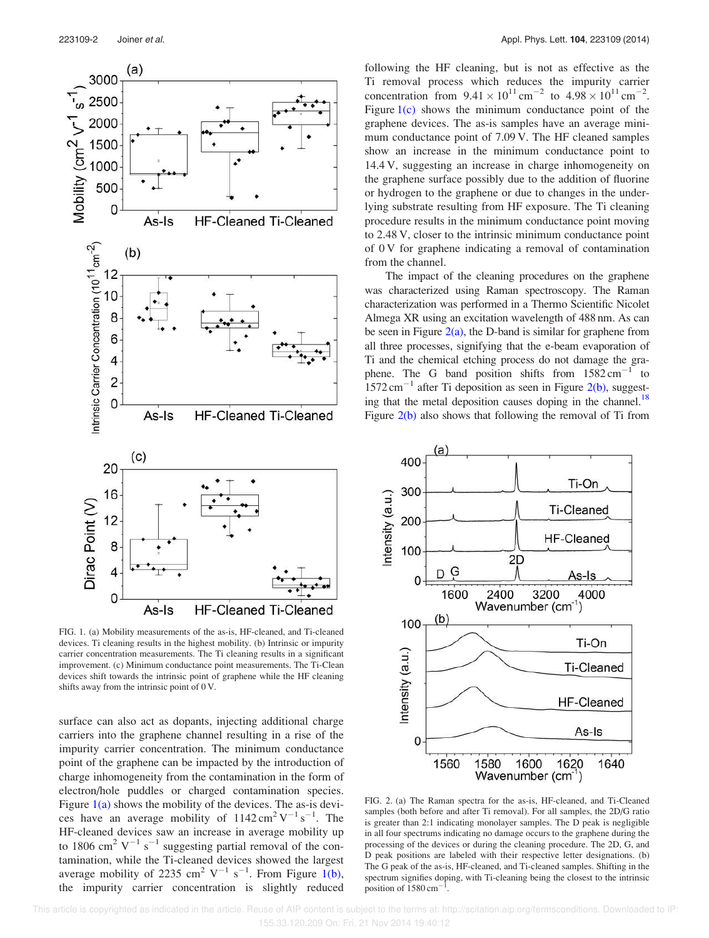

FIG. 1. (a) Mobility measurements of the as-is, HF-cleaned, and Ti-cleaned devices. Ti cleaning results in the highest mobility. (b) Intrinsic or impurity carrier concentration measurements. The Ti cleaning results in a significant improvement. (c) Minimum conductance point measurements. The Ti-Clean devices shift towards the intrinsic point of graphene while the HF cleaning shifts away from the intrinsic point of 0 V.

surface can also act as dopants, injecting additional charge carriers into the graphene channel resulting in a rise of the impurity carrier concentration. The minimum conductance point of the graphene can be impacted by the introduction of charge inhomogeneity from the contamination in the form of electron/hole puddles or charged contamination species. Figure  $1(a)$  shows the mobility of the devices. The as-is devices have an average mobility of  $1142 \text{ cm}^2 \text{ V}^{-1} \text{ s}^{-1}$ . The HF-cleaned devices saw an increase in average mobility up to 1806 cm<sup>2</sup> V<sup>-1</sup> s<sup>-1</sup> suggesting partial removal of the contamination, while the Ti-cleaned devices showed the largest average mobility of 2235 cm<sup>2</sup> V<sup>-1</sup> s<sup>-1</sup>. From Figure 1(b), the impurity carrier concentration is slightly reduced

following the HF cleaning, but is not as effective as the Ti removal process which reduces the impurity carrier concentration from  $9.41 \times 10^{11}$  cm<sup>-2</sup> to  $4.98 \times 10^{11}$  cm<sup>-2</sup>. Figure  $1(c)$  shows the minimum conductance point of the graphene devices. The as-is samples have an average minimum conductance point of 7.09 V. The HF cleaned samples show an increase in the minimum conductance point to 14.4 V, suggesting an increase in charge inhomogeneity on the graphene surface possibly due to the addition of fluorine or hydrogen to the graphene or due to changes in the underlying substrate resulting from HF exposure. The Ti cleaning procedure results in the minimum conductance point moving to 2.48 V, closer to the intrinsic minimum conductance point of 0 V for graphene indicating a removal of contamination from the channel.

The impact of the cleaning procedures on the graphene was characterized using Raman spectroscopy. The Raman characterization was performed in a Thermo Scientific Nicolet Almega XR using an excitation wavelength of 488 nm. As can be seen in Figure  $2(a)$ , the D-band is similar for graphene from all three processes, signifying that the e-beam evaporation of Ti and the chemical etching process do not damage the graphene. The G band position shifts from  $1582 \text{ cm}^{-1}$  to  $1572 \text{ cm}^{-1}$  after Ti deposition as seen in Figure 2(b), suggesting that the metal deposition causes doping in the channel.<sup>18</sup> Figure 2(b) also shows that following the removal of Ti from



FIG. 2. (a) The Raman spectra for the as-is, HF-cleaned, and Ti-Cleaned samples (both before and after Ti removal). For all samples, the 2D/G ratio is greater than 2:1 indicating monolayer samples. The D peak is negligible in all four spectrums indicating no damage occurs to the graphene during the processing of the devices or during the cleaning procedure. The 2D, G, and D peak positions are labeled with their respective letter designations. (b) The G peak of the as-is, HF-cleaned, and Ti-cleaned samples. Shifting in the spectrum signifies doping, with Ti-cleaning being the closest to the intrinsic position of 1580 cm<sup>-</sup> .